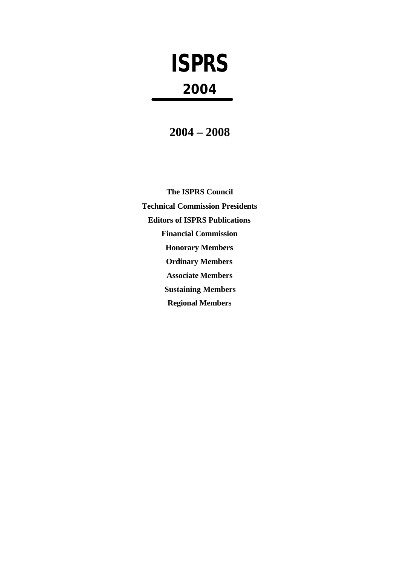# **ISPRS 2004**

**2004 – 2008**

**The ISPRS Council Technical Commission Presidents Editors of ISPRS Publications Financial Commission Honorary Members Ordinary Members Associate Members Sustaining Members Regional Members**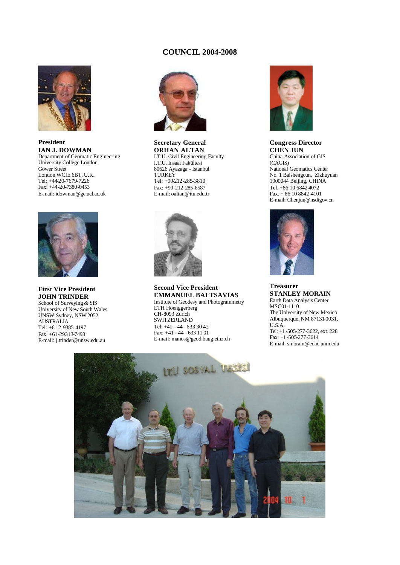# **COUNCIL 2004-2008**



**President IAN J. DOWMAN** Department of Geomatic Engineering University College London Gower Street London WCIE 6BT, U.K. Tel: +44-20-7679-7226 Fax: +44-20-7380-0453 E-mail: idowman@ge.ucl.ac.uk



**First Vice President JOHN TRINDER** School of Surveying & SIS University of New South Wales UNSW Sydney, NSW 2052 AUSTRALIA Tel: +61-2-9385-4197 Fax: +61-29313-7493

E-mail: j.trinder@unsw.edu.au



**Secretary General ORHAN ALTAN** I.T.U. Civil Engineering Faculty I.T.U. Insaat Fakültesi 80626 Ayazaga - Istanbul **TURKEY** Tel: +90-212-285-3810 Fax: +90-212-285-6587 E-mail: oaltan@itu.edu.tr



**Second Vice President EMMANUEL BALTSAVIAS** Institute of Geodesy and Photogrammetry ETH Hoenggerberg CH-8093 Zurich **SWITZERLAND** Tel: +41 - 44 - 633 30 42 Fax: +41 - 44 - 633 11 01 E-mail: manos@geod.baug.ethz.ch



**Congress Director CHEN JUN** China Association of GIS (CAGIS) National Geomatics Center No. 1 Baishengcun, Zizhuyuan 1000044 Beijing, CHINA Tel. +86 10 6842-4072 Fax. + 86 10 8842-4101 E-mail: Chenjun@nsdigov.cn



**Treasurer STANLEY MORAIN** Earth Data Analysis Center MSC01-1110 The University of New Mexico Albuquerque, NM 87131-0031, U.S.A. Tel: +1 -505-277-3622, ext. 228 Fax: +1 -505-277-3614 E-mail: smorain@edac.unm.edu

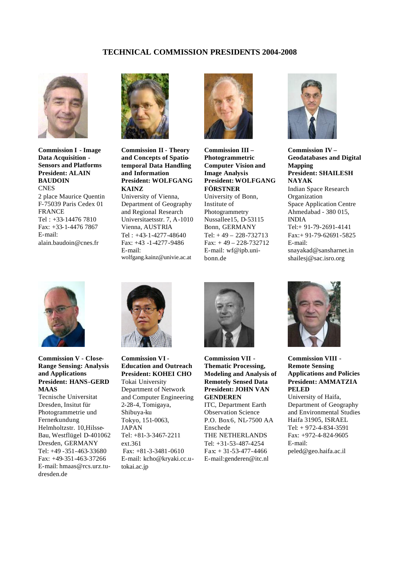# **TECHNICAL COMMISSION PRESIDENTS 2004-2008**



**Commission I - Image Data Acquisition - Sensors and Platforms President: ALAIN BAUDOIN CNES** 2 place Maurice Quentin F-75039 Paris Cedex 01 **FRANCE** Tel : +33-14476 7810 Fax: +33-1-4476 7867 E-mail: alain.baudoin@cnes.fr



**Commission II - Theory and Concepts of Spatiotemporal Data Handling and Information President: WOLFGANG KAINZ** University of Vienna, Department of Geography and Regional Research Universitaetsstr. 7, A-1010 Vienna, AUSTRIA Tel : +43-1-4277-48640 Fax: +43 -1-4277-9486 E-mail: wolfgang.kainz@univie.ac.at



**Commission III – Photogrammetric Computer Vision and Image Analysis President: WOLFGANG FÖRSTNER** University of Bonn, Institute of Photogrammetry Nussallee15, D-53115 Bonn, GERMANY Tel: + 49 – 228-732713 Fax: + 49 – 228-732712 E-mail: wf@ipb.unibonn.de



**Commission IV – Geodatabases and Digital Mapping President: SHAILESH NAYAK** Indian Space Research **Organization** Space Application Centre Ahmedabad - 380 015, INDIA Tel:+ 91-79-2691-4141 Fax:+ 91-79-62691-5825 E-mail: snayakad@sansharnet.in shailesj@sac.isro.org



**Commission V - Close-Range Sensing: Analysis and Applications President: HANS-GERD MAAS**

Tecnische Universitat Dresden, Insitut für Photogrammetrie und Fernerkundung Helmholtzstr. 10,Hilsse-Bau, Westflügel D-401062 Dresden, GERMANY Tel: +49 -351-463-33680 Fax: +49-351-463-37266 E-mail: hmaas@rcs.urz.tudresden.de



**Commission VI - Education and Outreach President: KOHEI CHO** Tokai University Department of Network and Computer Engineering 2-28-4, Tomigaya, Shibuya-ku Tokyo, 151-0063, JAPAN Tel: +81-3-3467-2211 ext.361 Fax: +81-3-3481-0610 E-mail: kcho@kryaki.cc.utokai.ac.jp



**Commission VII - Thematic Processing, Modeling and Analysis of Remotely Sensed Data President: JOHN VAN GENDEREN**

ITC, Department Earth Observation Science P.O. Box 6, NL-7500 AA Enschede THE NETHERLANDS Tel: +31-53-487-4254 Fax: + 31-53-477-4466 E-mail:genderen@itc.nl



**Commission VIII - Remote Sensing Applications and Policies President: AMMATZIA PELED**

University of Haifa, Department of Geography and Environmental Studies Haifa 31905, ISRAEL Tel: + 972-4-834-3591 Fax: +972-4-824-9605 E-mail: peled@geo.haifa.ac.il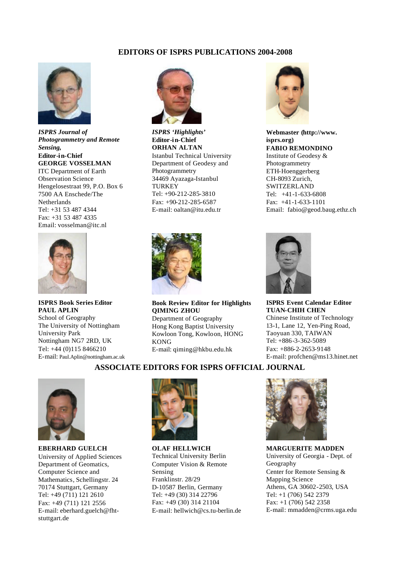# **EDITORS OF ISPRS PUBLICATIONS 2004-2008**



*ISPRS Journal of Photogrammetry and Remote Sensing,*  **Editor-in-Chief GEORGE VOSSELMAN** ITC Department of Earth Observation Science Hengelosestraat 99, P.O. Box 6 7500 AA Enschede/The Netherlands Tel: +31 53 487 4344 Fax: +31 53 487 4335 Email: vosselman@itc.nl



**ISPRS Book Series Editor PAUL APLIN** School of Geography The University of Nottingham University Park Nottingham NG7 2RD, UK Tel: +44 (0)115 8466210 E-mail: Paul.Aplin@nottingham.ac.uk



*ISPRS 'Highlights'*  **Editor-in-Chief ORHAN ALTAN** Istanbul Technical University Department of Geodesy and Photogrammetry 34469 Ayazaga-Istanbul **TURKEY** Tel: +90-212-285-3810 Fax: +90-212-285-6587 E-mail: oaltan@itu.edu.tr



**Book Review Editor for Highlights QIMING ZHOU** Department of Geography Hong Kong Baptist University Kowloon Tong, Kowloon, HONG KONG E-mail: qiming@hkbu.edu.hk



**Webmaster (http://www. isprs.org) FABIO REMONDINO** Institute of Geodesy & Photogrammetry ETH-Hoenggerberg CH-8093 Zurich, SWITZERLAND Tel: +41-1-633-6808 Fax: +41-1-633-1101

Email: fabio@geod.baug.ethz.ch



**ISPRS Event Calendar Editor TUAN-CHIH CHEN** Chinese Institute of Technology 13-1, Lane 12, Yen-Ping Road, Taoyuan 330, TAIWAN Tel: +886-3-362-5089 Fax: +886-2-2653-9148 E-mail: profchen@ms13.hinet.net

# **ASSOCIATE EDITORS FOR ISPRS OFFICIAL JOURNAL**



**EBERHARD GUELCH** University of Applied Sciences Department of Geomatics, Computer Science and Mathematics, Schellingstr. 24 70174 Stuttgart, Germany Tel: +49 (711) 121 2610 Fax: +49 (711) 121 2556 E-mail: eberhard.guelch@fhtstuttgart.de



**OLAF HELLWICH** Technical University Berlin Computer Vision & Remote Sensing Franklinstr. 28/29 D-10587 Berlin, Germany Tel: +49 (30) 314 22796 Fax: +49 (30) 314 21104 E-mail: hellwich@cs.tu-berlin.de



**MARGUERITE MADDEN** University of Georgia - Dept. of Geography Center for Remote Sensing & Mapping Science Athens, GA 30602-2503, USA Tel: +1 (706) 542 2379 Fax: +1 (706) 542 2358 E-mail: mmadden@crms.uga.edu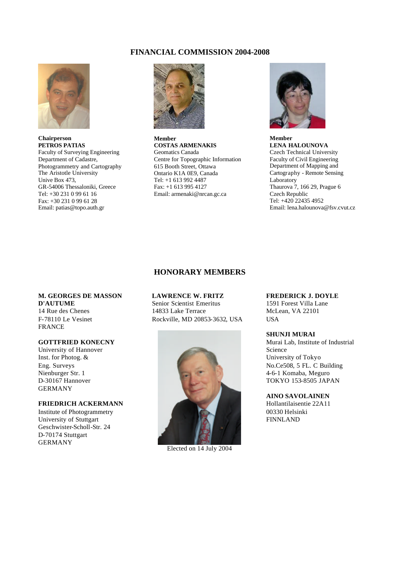# **FINANCIAL COMMISSION 2004-2008**



**Chairperson PETROS PATIAS** Faculty of Surveying Engineering Department of Cadastre, Photogrammetry and Cartography The Aristotle University Unive Box 473, GR-54006 Thessaloniki, Greece Tel: +30 231 0 99 61 16 Fax: +30 231 0 99 61 28 Email: patias@topo.auth.gr



**Member COSTAS ARMENAKIS** Geomatics Canada Centre for Topographic Information 615 Booth Street, Ottawa Ontario K1A 0E9, Canada Tel: +1 613 992 4487 Fax: +1 613 995 4127 Email: armenaki@nrcan.gc.ca



**Member LENA HALOUNOVA** Czech Technical University Faculty of Civil Engineering Department of Mapping and Cartography - Remote Sensing Laboratory Thaurova 7, 166 29, Prague 6 Czech Republic Tel: +420 22435 4952 Email: lena.halounova@fsv.cvut.cz

# **HONORARY MEMBERS**

# **M. GEORGES DE MASSON D'AUTUME** 14 Rue des Chenes

F-78110 Le Vesinet FRANCE

# **GOTTFRIED KONECNY**

University of Hannover Inst. for Photog. & Eng. Surveys Nienburger Str. 1 D-30167 Hannover GERMANY

# **FRIEDRICH ACKERMANN**

Institute of Photogrammetry University of Stuttgart Geschwister-Scholl-Str. 24 D-70174 Stuttgart GERMANY

# **LAWRENCE W. FRITZ**

Senior Scientist Emeritus 14833 Lake Terrace Rockville, MD 20853-3632, USA



Elected on 14 July 2004

#### **FREDERICK J. DOYLE**

1591 Forest Villa Lane McLean, VA 22101 USA

# **SHUNJI MURAI**

Murai Lab, Institute of Industrial Science University of Tokyo No.Ce508, 5 FL. C Building 4-6-1 Komaba, Meguro TOKYO 153-8505 JAPAN

# **AINO SAVOLAINEN**

Hollantilaisentie 22A11 00330 Helsinki FINNLAND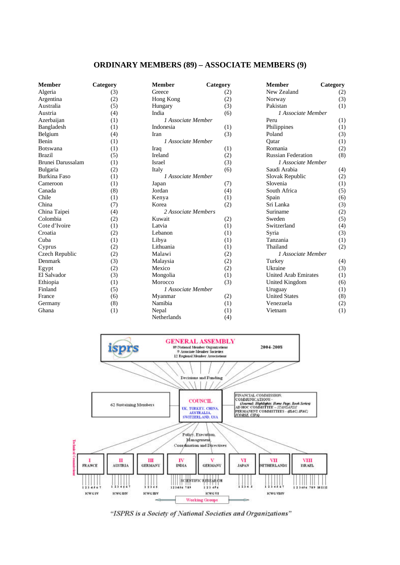# **ORDINARY MEMBERS (89) – ASSOCIATE MEMBERS (9)**

| <b>Member</b>       | Category | <b>Member</b>             | Category | <b>Member</b>               | Category |
|---------------------|----------|---------------------------|----------|-----------------------------|----------|
| Algeria             | (3)      | Greece                    | (2)      | New Zealand                 | (2)      |
| Argentina           | (2)      | Hong Kong                 | (2)      | Norway                      | (3)      |
| Australia           | (5)      | Hungary                   | (3)      | Pakistan                    | (1)      |
| Austria             | (4)      | India                     | (6)      | <i>l</i> Associate Member   |          |
| Azerbaijan          | (1)      | 1 Associate Member        |          | Peru                        | (1)      |
| Bangladesh          | (1)      | Indonesia                 | (1)      | Philippines                 | (1)      |
| Belgium             | (4)      | <b>Iran</b>               | (3)      | Poland                      | (3)      |
| Benin               | (1)      | <i>l</i> Associate Member |          | Oatar                       | (1)      |
| Botswana            | (1)      | Iraq                      | (1)      | Romania                     | (2)      |
| <b>Brazil</b>       | (5)      | Ireland                   | (2)      | <b>Russian Federation</b>   | (8)      |
| Brunei Darussalam   | (1)      | <b>Israel</b>             | (3)      | <i>l</i> Associate Member   |          |
| Bulgaria            | (2)      | Italy                     | (6)      | Saudi Arabia                | (4)      |
| <b>Burkina Faso</b> | (1)      | <i>l</i> Associate Member |          | Slovak Republic             | (2)      |
| Cameroon            | (1)      | Japan                     | (7)      | Slovenia                    | (1)      |
| Canada              | (8)      | Jordan                    | (4)      | South Africa                | (5)      |
| Chile               | (1)      | Kenya                     | (1)      | Spain                       | (6)      |
| China               | (7)      | Korea                     | (2)      | Sri Lanka                   | (3)      |
| China Taipei        | (4)      | 2 Associate Members       |          | Suriname                    | (2)      |
| Colombia            | (2)      | Kuwait                    | (2)      | Sweden                      | (5)      |
| Cote d'Ivoire       | (1)      | Latvia                    | (1)      | Switzerland                 | (4)      |
| Croatia             | (2)      | Lebanon                   | (1)      | Syria                       | (3)      |
| Cuba                | (1)      | Libya                     | (1)      | Tanzania                    | (1)      |
| Cyprus              | (2)      | Lithuania                 | (1)      | Thailand                    | (2)      |
| Czech Republic      | (2)      | Malawi                    | (2)      | 1 Associate Member          |          |
| Denmark             | (3)      | Malaysia                  | (2)      | Turkey                      | (4)      |
| Egypt               | (2)      | Mexico                    | (2)      | Ukraine                     | (3)      |
| El Salvador         | (3)      | Mongolia                  | (1)      | <b>United Arab Emirates</b> | (1)      |
| Ethiopia            | (1)      | Morocco                   | (3)      | United Kingdom              | (6)      |
| Finland             | (5)      | <i>l</i> Associate Member |          | Uruguay                     | (1)      |
| France              | (6)      | Myanmar                   | (2)      | <b>United States</b>        | (8)      |
| Germany             | (8)      | Namibia                   | (1)      | Venezuela                   | (2)      |
| Ghana               | (1)      | Nepal                     | (1)      | Vietnam                     | (1)      |
|                     |          | Netherlands               | (4)      |                             |          |



"ISPRS is a Society of National Societies and Organizations"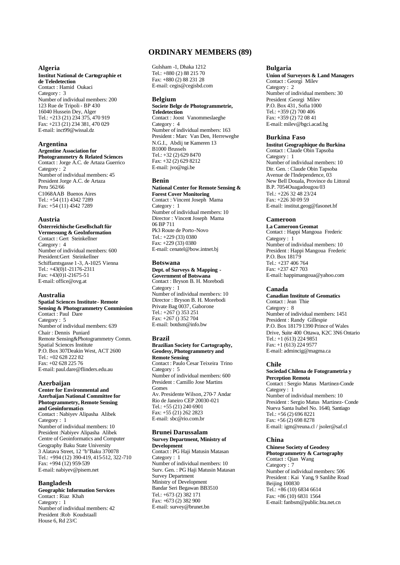# **ORDINARY MEMBERS (89)**

#### **Algeria**

**Institut National de Cartographie et de Teledetection** Contact : Hamid Oukaci Category : 3 Number of individual members: 200 123 Rue de Tripoli - BP 430 16040 Hussein Dey, Alger Tel.: +213 (21) 234 375, 470 919 Fax: +213 (21) 234 381, 470 029 E-mail: inct99@wissal.dz

# **Argentina**

#### **Argentine Association for Photogrammetry & Related Sciences**

Contact : Jorge A.C. de Artaza Guerrico Category : 2 Number of individual members: 45 President Jorge A.C. de Artaza Peru 562/66 C1068AAB Buenos Aires Tel.: +54 (11) 4342 7289 Fax: +54 (11) 4342 7289

#### **Austria**

**Österreichische Gesellschaft für Vermessung & GeoInformation** Contact : Gert Steinkellner Category : 4 Number of individual members: 600 President:Gert Steinkellner Schiffamtsgasse 1-3, A-1025 Vienna Tel.: +43(0)1-21176-2311 Fax:  $+43(0)1-21675-51$ E-mail: office@ovg.at

#### **Australia**

**Spatial Sciences Institute - Remote Sensing & Photogrammetry Commission**  Contact : Paul Dare Category : 5 Number of individual members: 639 Chair : Dennis Puniard Remote Sensing&Photogrammetry Comm. Spatial Sciences Institute P.O. Box 307Deakin West, ACT 2600 Tel.: +02 628 222 82 Fax: +02 628 225 76 E-mail: paul.dare@flinders.edu.au

#### **Azerbaijan**

**Center for Environmental and Azerbaijan National Committee for Photogrammetry, Remote Sensing and Geoinformatics** Contact : Nabiyev Alipasha Alibek Category : 1 Number of individual members: 10 President :Nabiyev Alipasha Alibek Centre of Geoinformatics and Computer Geography Baku State University 3 Alatava Street, 12 "b"Baku 370078 Tel.: +994 (12) 390-419, 415-512, 322-710 Fax: +994 (12) 959-539 E-mail: nabiyev@pisem.net

#### **Bangladesh**

**Geographic Information Services** Contact : Riaz Khah Category : 1 Number of individual members: 42 President :Rob Koudstaall House 6, Rd 23/C

Gulsham -1, Dhaka 1212 Tel.: +880 (2) 88 215 70 Fax: +880 (2) 88 231 28 E-mail: cegis@cegisbd.com

## **Belgium**

#### **Societe Belge de Photogrammetrie, Teledetection** Contact : Joost Vanommeslaeghe

Category : 4 Number of individual members: 163 President : Marc Van Den, Herreweghe N.G.I., Abdij ter Kameren 13 B1000 Brussels Tel.: +32 (2) 629 8470 Fax: +32 (2) 629 8212 E-mail: jvo@ngi.be

#### **Benin**

#### **National Center for Remote Sensing & Forest Cover Monitoring**

Contact : Vincent Joseph Mama Category : 1 Number of individual members: 10 Director : Vincent Joseph Mama 06 BP 711 Pk3 Route de Porto-Novo Tel.: +229 (33) 0380 Fax: +229 (33) 0380 E-mail: cenatel@bow.intnet.bj

#### **Botswana**

#### **Dept. of Surveys & Mapping - Government of Botswana** Contact : Bryson B. H. Morebodi

Category : 1 Number of individual members: 10 Director : Bryson B. H. Morebodi Private Bag 0037, Gaborone Tel.:  $+267$  () 353 251 Fax: +267 () 352 704 E-mail: botdsm@info.bw

#### **Brazil**

#### **Brazilian Society for Cartography, Geodesy, Photogrammetry and Remote Sensing** Contact : Paulo Cesar Teixeira Trino Category : 5 Number of individual members: 600 President : Camillo Jose Martins Gomes Av. Presidente Wilson, 270-7 Andar Rio de Janeiro CEP 20030-021 Tel.: +55 (21) 240 6901 Fax: +55 (21) 262 2823

#### **Brunei Darussalam Survey Department, Ministry of Development**

E-mail: sbc@rio.com.br

Contact : PG Haji Matusin Matasan Category : 1 Number of individual members: 10 Surv. Gen. : PG Haji Matusin Matasan Survey Department Ministry of Development Bandar Seri Begawan BB3510 Tel.: +673 (2) 382 171 Fax: +673 (2) 382 900 E-mail: survey@brunet.bn

#### **Bulgaria**

**Union of Surveyors & Land Managers** Contact : Georgi Milev Category : 2 Number of individual members: 30 President :Georgi Milev P.O. Box 431, Sofia 1000 Tel.: +359 (2) 700 406 Fax: +359 (2) 72 08 41 E-mail: milev@bgci.acad.bg

#### **Burkina Faso**

**Institut Geographique du Burkina** Contact : Claude Obin Tapsoba Category : 1 Number of individual members: 10 Dir. Gen. : Claude Obin Tapsoba Avenue de l'Independence, 03 New Bell Douala, Province du Littoral B.P. 7054Ouagadougou 03 Tel.: +226 32 48 23/24 Fax: +226 30 09 59 E-mail: institut.geog@fasonet.bf

#### **Cameroon**

**La Cameroon Geomat** Contact : Happi Mangoua Frederic Category : 1 Number of individual members: 10 President : Happi Mangoua Frederic P.O. Box 18179 Tel.: +237 406 764 Fax: +237 427 703 E-mail: happimangoua@yahoo.com

#### **Canada**

**Canadian Institute of Geomatics** Contact : Jean Thie Category : 8 Number of individual members: 1451 President : Randy Gillespie P.O. Box 18179 1390 Prince of Wales Drive, Suite 400 Ottawa, K2C 3N6 Ontario Tel.: +1 (613) 224 9851 Fax: +1 (613) 224 9577 E-mail: admincig@magma.ca

#### **Chile**

#### **Sociedad Chilena de Fotogrametria y Perception Remota**

Contact : Sergio Matus Martinez-Conde Category : 1 Number of individual members: 10 President : Sergio Matus Martinez- Conde Nueva Santa Isabel No. 1640, Santiago Tel.: +56 (2) 696 8221 Fax: +56 (2) 698 8278 E-mail: igm@reuna.cl / jsoler@saf.cl

#### **China**

**Chinese Society of Geodesy Photogrammetry & Cartography** Contact : Qian Wang Category : 7 Number of individual members: 506 President : Kai Yang, 9 Sanlihe Road Beijing 100830 Tel.: +86 (10) 6834 6614 Fax: +86 (10) 6831 1564 E-mail: fanbsm@public.bta.net.cn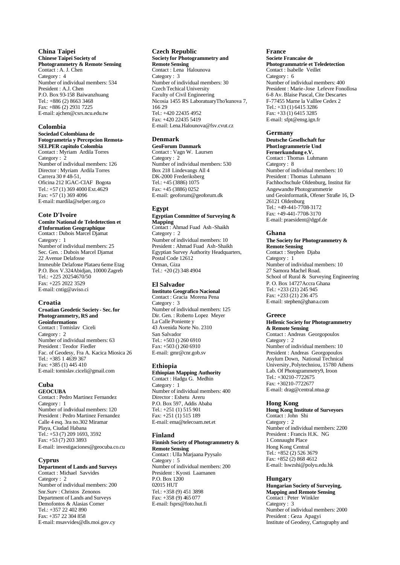# **China Taipei**

**Chinese Taipei Society of Photogrammetry & Remote Sensing** Contact : A. J. Chen Category : 4 Number of individual members: 534 President : A.J. Chen P.O. Box 93-158 Baiwanzhuang Tel.: +886 (2) 8663 3468 Fax: +886 (2) 2931 7225 E-mail: ajchen@csrs.ncu.edu.tw

#### **Colombia**

#### **Sociedad Colombiana de Fotogrametria y Percepcion Remota-SELPER capitulo Colombia**

Contact : Myriam Ardila Torres Category : 2 Number of individual members: 126 Director : Myriam Ardila Torres Carrera 30 # 48-51, Oficina 212 IGAC-CIAF Bogota Tel.: +57 (1) 369 4000 Ext.4629 Fax: +57 (1) 369 4096 E-mail: mardila@selper.org.co

#### **Cote D'Ivoire**

**Comite National de Teledetection et d'Information Geographique** Contact : Dubois Marcel Djamat Category : 1 Number of individual members: 25 Sec. Gen. : Dubois Marcel Djamat 22 Avenue Delafosse Immeuble Delafosse Plataeu 6eme Etag P.O. Box V.324Abidjan, 10000 Zagreb Tel.: +225 20254670/50 Fax: +225 2022 3529 E-mail: cntig@aviso.ci

#### **Croatia**

#### **Croatian Geodetic Society - Sec. for Photogrammetry, RS and Geoinformations** Contact : Tomislav Ciceli Category : 2 Number of individual members: 63

President : Teodor Fiedler Fac. of Geodesy, Fra A. Kacica Miosica 26 Tel.: +385 1 4639 367 Fax: +385 (1) 445 410 E-mail: tomislav.ciceli@gmail.com

# **Cuba**

**GEOCUBA**  Contact : Pedro Martinez Fernandez Category : 1 Number of individual members: 120 President : Pedro Martinez Fernandez Calle 4 esq. 3ra no.302 Miramar Playa, Ciudad Habana Tel.: +53 (7) 209 1693, 3592 Fax: +53 (7) 203 3893 E-mail: investigaciones@geocuba.co.cu

## **Cyprus**

**Department of Lands and Surveys**  Contact : Michael Savvides Category : 2 Number of individual members: 200 Snr.Surv : Christos Zenonos Department of Lands and Surveys Demofontos & Alasias Corner Tel.: +357 22 402 890 Fax: +357 22 304 858 E-mail: msavvides@dls.moi.gov.cy

#### **Czech Republic**

#### **Society for Photogrammetry and Remote Sensing** Contact : Lena Halounova

Category : 3 Number of individual members: 30 Czech Techical University Faculty of Civil Engineering Nicosia 1455 RS LaboratuaryTho'kunova 7, 166 29 Tel.: +420 22435 4952 Fax: +420 22435 5419 E-mail: Lena.Halounova@fsv.cvut.cz

## **Denmark**

**GeoForum Danmark**  Contact : Vagn W. Laursen Category : 2 Number of individual members: 530 Box 218 Lindevangs All 4 DK-2000 Frederiksberg Tel.: +45 (3886) 1075 Fax: +45 (3886) 0252 E-mail: geoforum@geoforum.dk

## **Egypt**

#### **Egyptian Committee of Surveying & Mapping** Contact : Ahmad Fuad Ash -Shaikh

Category : 2 Number of individual members: 10 President : Ahmad Fuad Ash-Shaikh Egyptian Survey Authority Headquarters, Postal Code 12612 Orman, Giza Tel.: +20 (2) 348 4904

## **El Salvador**

**Instituto Geografico Nacional** Contact : Gracia Morena Pena Category : 3 Number of individual members: 125 Dir. Gen. : Roberto Lopez Meyer La Calle Poniente y 43 Avenida Norte No. 2310 San Salvador Tel.: +503 () 260 6910 Fax: +503 () 260 6910 E-mail: gmr@cnr.gob.sv

## **Ethiopia**

**Ethiopian Mapping Authority** Contact : Hadgu G. Medhin Category : 1 Number of individual members: 400 Director : Eshetu Areru P.O. Box 597, Addis Ababa Tel.: +251 (1) 515 901 Fax: +251 (1) 515 189 E-mail: ema@telecoam.net.et

# **Finland**

#### **Finnish Society of Photogrammetry & Remote Sensing**

Contact : Ulla Marjaana Pyysalo Category : 5 Number of individual members: 200 President : Kyosti Laamanen P.O. Box 1200 02015 HUT Tel.: +358 (9) 451 3898 Fax: +358 (9) 465 077 E-mail: fsprs@foto.hut.fi

#### **France**

**Societe Francaise de Photogrammatrie et Teledetection** Contact : Isabelle Veillet Category : 6 Number of individual members: 400 President : Marie-Jose Lefevre Fonollosa 6-8 Av. Blaise Pascal, Cite Descartes F-77455 Marne la Valllee Cedex 2 Tel.: +33 (1) 6415 3286 Fax: +33 (1) 6415 3285 E-mail: sfpt@ensg.ign.fr

## **Germany**

**Deutsche Gesellschaft fur Phot1ogrammetrie Und Fernerkundung e.V.** Contact : Thomas Luhmann Category : 8 Number of individual members: 10 President : Thomas Luhmann Fachhochschule Oldenburg, Institut für Angewandte Photogrammetrie und Geoinformatik, Ofener Straße 16, D-26121 Oldenburg Tel.: +49-441-7708-3172 Fax: +49-441-7708-3170 E-mail: praesident@dgpf.de

## **Ghana**

#### **The Society for Photogrammetry & Remote Sensing** Contact : Stephen Djaba Category : 1 Number of individual members: 10 27 Samora Machel Road. School of Rural & Surveying Engineering P. O. Box 14727Accra Ghana Tel.: +233 (21) 245 945 Fax: +233 (21) 236 475 E-mail: stephen@ghana.com

## **Greece**

#### **Hellenic Society for Photogrammetry & Remote Sensing** Contact : Andreas Georgopoulos

Category : 2 Number of individual members: 10 President : Andreas Georgopoulos Asylum Down, National Technical University, Polytechniou, 15780 Athens Lab. Of Photogrammetry9, Iroon Tel.: +30210-7722675 Fax: +30210-7722677 E-mail: drag@central.ntua.gr

## **Hong Kong**

**Hong Kong Institute of Surveyors** Contact : John Shi Category : 2 Number of individual members: 2200 President : Francis H.K. NG 1 Connaught Place Hong Kong Central Tel.: +852 (2) 526 3679 Fax: +852 (2) 868 4612 E-mail: lswzshi@polyu.edu.hk

## **Hungary**

**Hungarian Society of Surveying, Mapping and Remote Sensing** Contact : Peter Winkler Category : 3 Number of individual members: 2000 President : Geza Apagyi Institute of Geodesy, Cartography and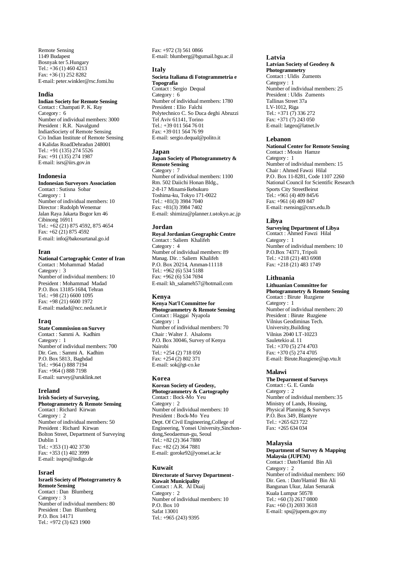Remote Sensing 1149 Budapest Bosnyak ter 5.Hungary Tel.:  $+36(1)$  460 4213 Fax: +36 (1) 252 8282 E-mail: peter.winkler@rsc.fomi.hu

#### **India**

#### **Indian Society for Remote Sensing**

Contact : Champati P. K. Ray Category : 6 Number of individual members: 3000 President : R.R. Navalgund IndianSociety of Remote Sensing C/o Indian Institute of Remote Sensing 4 Kalidas RoadDehradun 248001 Tel.: +91 (135) 274 5526 Fax: +91 (135) 274 1987 E-mail: isrs@iirs.gov.in

#### **Indonesia**

#### **Indonesian Surveyors Association**

Contact : Sutisna Sobar Category : 1 Number of individual members: 10 Director : Rudolph Wenemar Jalan Raya Jakarta Bogor km 46 Cibinong 16911 Tel.: +62 (21) 875 4592, 875 4654 Fax: +62 (21) 875 4592 E-mail: info@bakosurtanal.go.id

#### **Iran**

**National Cartographic Center of Iran** Contact : Mohammad Madad Category : 3 Number of individual members: 10 President : Mohammad Madad P.O. Box 13185-1684, Tehran Tel.: +98 (21) 6600 1095

Fax: +98 (21) 6600 1972 E-mail: madad@ncc.neda.net.ir

#### **Iraq**

**State Commission on Survey** Contact : Sammi A. Kadhim Category : 1 Number of individual members: 700 Dir. Gen. : Sammi A. Kadhim P.O. Box 5813, Baghdad Tel.: +964 () 888 7194 Fax: +964 () 888 7198 E-mail: survey@uruklink.net

#### **Ireland**

**Irish Society of Surveying, Photogrammetry & Remote Sensing** Contact : Richard Kirwan Category : 2 Number of individual members: 50 President : Richard Kirwan Bolton Street, Department of Surveying Dublin 1 Tel.: +353 (1) 402 3730 Fax: +353 (1) 402 3999 E-mail: issprs@indigo.de

## **Israel**

#### **Israeli Society of Photogrrametry & Remote Sensing**

Contact : Dan Blumberg Category : 3 Number of individual members: 80 President : Dan Blumberg P.O. Box 14171 Tel.: +972 (3) 623 1900

Fax: +972 (3) 561 0866 E-mail: blumberg@bgumail.bgu.ac.il

#### **Italy**

#### **Societa Italiana di Fotogrammetria e Topografia**

Contact : Sergio Dequal Category : 6 Number of individual members: 1780 President : Elio Falchi Polytechnico C. So Duca deghi Abruzzi Tel Aviv 61141, Torino Tel.: +39 011 564 76 01 Fax: +39 011 564 76 99 E-mail: sergio.dequal@polito.it

#### **Japan**

#### **Japan Society of Photogrammetry & Remote Sensing** Category : 7

Number of individual members: 1100 Rm. 502 Daiichi Honan Bldg., 2-8-17 Minami-Ikebukuro Toshima-ku, Tokyo 171-0022 Tel.: +81(3) 3984 7040 Fax: +81(3) 3984 7402 E-mail: shimizu@planner.t.u-tokyo.ac.jp

## **Jordan**

**Royal Jordanian Geographic Centre** Contact : Saliem Khalifeh Category : 4 Number of individual members: 89 Manag. Dir. : Saliem Khalifeh P.O. Box 20214, Amman-11118 Tel.: +962 (6) 534 5188 Fax: +962 (6) 534 7694 E-mail: kh\_salameh57@hotmail.com

#### **Kenya**

#### **Kenya Nat'l Committee for Photogrammetry & Remote Sensing** Contact : Haggai Nyapola Category : 1 Number of individual members: 70

Chair : Walter J. Alsaloms P.O. Box 30046, Survey of Kenya Nairobi Tel.: +254 (2) 718 050 Fax: +254 (2) 802 371 E-mail: sok@gt-co.ke

# **Korea**

#### **Korean Society of Geodesy, Photogrammetry & Cartography** Contact : Bock-Mo Yeu Category : 2

Number of individual members: 10 President : Bock-Mo Yeu Dept. Of Civil Engineering,College of Engineering, Yonsei University,Sinchondong,Seodaemun-gu, Seoul Tel.: +82 (2) 364 7880 Fax: +82 (2) 364 7881 E-mail: goroke92@yonsei.ac.kr

#### **Kuwait**

# **Directorate of Survey Department - Kuwait Municipality** Contact : A.R. Al Duaij

Category : 2 Number of individual members: 10 P.O. Box 10 Safat 13001 Tel.: +965 (243) 9395

#### **Latvia**

**Latvian Society of Geodesy & Photogrammetry** Contact : Uldis Zuments Category : 1 Number of individual members: 25 President : Uldis Zuments Tallinas Street 37a LV-1012, Riga Tel.: +371 (7) 336 272 Fax: +371 (7) 243 050 E-mail: latgeo@latnet.lv

#### **Lebanon**

**National Center for Remote Sensing** Contact : Mouin Hamze Category : 1 Number of individual members: 15 Chair : Ahmed Fawzi Hilal P.O. Box 11-8281, Code 1107 2260 National Council for Scientific Research Sports City StreetBeirut Tel.:  $+961(4)409845/6$ Fax: +961 (4) 409 847 E-mail: rsensing@cnrs.edu.lb

#### **Libya**

**Surveying Department of Libya** Contact : Ahmed Fawzi Hilal Category : 1 Number of individual members: 10 P.O.Box 74371, Tripoli Tel.: +218 (21) 483 6908 Fax: +218 (21) 483 1749

#### **Lithuania**

**Lithuanian Committee for Photogrammetry & Remote Sensing** Contact : Birute Ruzgiene Category : 1 Number of individual members: 20 President : Birute Ruzgiene Vilnius Geodiminas Tech. University,Building Vilnius 2040 LT-10223 Sauletekio al. 11 Tel.: +370 (5) 274 4703 Fax: +370 (5) 274 4705 E-mail: Birute.Ruzgiene@ap.vtu.lt

#### **Malawi**

**The Deparment of Surveys** Contact : G. E. Gunda Category : 2 Number of individual members: 35 Ministry of Lands, Housing, Physical Planning & Surveys P.O. Box 349, Blantyre Tel.: +265 623 722 Fax: +265 634 034

#### **Malaysia**

# **Department of Survey & Mapping Malaysia (JUPEM)**

Contact : Dato'Hamid Bin Ali Category : 2 Number of individual members: 160 Dir. Gen. : Dato'Hamid Bin Ali Bangunan Ukur, Jalan Semarak Kuala Lumpur 50578 Tel.:  $+60(3)$  2617 0800 Fax: +60 (3) 2693 3618 E-mail: sps@jupem.gov.my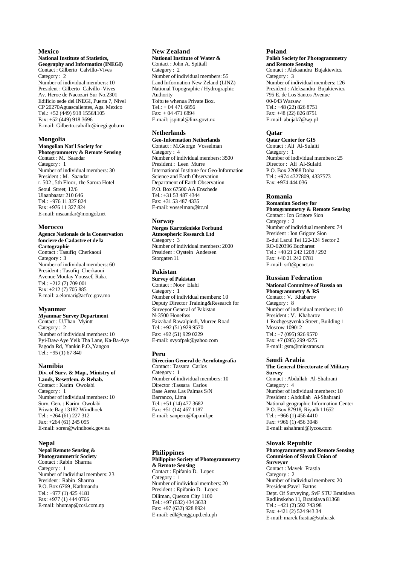## **Mexico**

#### **National Institute of Statistics, Geography and Informatics (INEGI)** Contact : Gilberto Calvillo-Vives Category : 2 Number of individual members: 10 President : Gilberto Calvillo -Vives Av. Heroe de Nacozari Sur No.2301 Edificio sede del INEGI, Puerta 7, Nivel CP 20270Aguascalientes, Ags. Mexico Tel.: +52 (449) 918 1556/1105 Fax: +52 (449) 918 3696 E-mail: Gilberto.calvillo@inegi.gob.mx

#### **Mongolia**

**Mongolian Nat'l Society for Photogrammetry & Remote Sensing** Contact : M. Saandar Category : 1 Number of individual members: 30 President : M. Saandar r. 502 , 5th Floor, the Sarora Hotel Seoul Street, 12/6 Ulaanbaatar 210 646 Tel.: +976 11 327 824

Fax: +976 11 327 824 E-mail: msaandar@mongol.net

## **Morocco**

**Agence Nationale de la Conservation fonciere de Cadastre et de la Cartographie** Contact : Tasufiq Cherkaoui Category : 3 Number of individual members: 60 President : Tasufiq Cherkaoui Avenue Moulay Youssef, Rabat Tel.: +212 (7) 709 001 Fax: +212 (7) 705 885 E-mail: a.elomari@acfcc.gov.mo

#### **Myanmar**

**Myanmar Survey Department** Contact : U.Than Myintt Category : 2 Number of individual members: 10 Pyi-Daw-Aye Yeik Tha Lane, Ka-Ba-Aye Pagoda Rd, Yankin P.O.,Yangon Tel.: +95 (1) 67 840

#### **Namibia**

**Div. of Surv. & Map., Ministry of Lands, Resettlem. & Rehab.** Contact : Karim Owolabi Category : 1 Number of individual members: 10 Surv. Gen. : Karim Owolabi Private Bag 13182 Windhoek Tel.: +264 (61) 227 312 Fax: +264 (61) 245 055 E-mail: soren@windhoek.gov.na

#### **Nepal**

**Nepal Remote Sensing & Photogrammetric Society**

Contact : Rabin Sharma Category : 1 Number of individual members: 23 President : Rabin Sharma P.O. Box 6769, Kathmandu Tel.: +977 (1) 425 4181 Fax: +977 (1) 444 0766 E-mail: bhumap@ccsl.com.np

#### **New Zealand**

**National Institute of Water &**  Contact : John A. Spittall Category : 2 Number of individual members: 55 Land Information New Zeland (LINZ) National Topographic / Hydrographic Authority Toitu te whenua Private Box. Tel.: + 04 471 6856 Fax: + 04 471 6894 E-mail: jspittal@linz.govt.nz

## **Netherlands**

**Geo-Information Netherlands** Contact : M.George Vosselman Category : 4 Number of individual members: 3500 President : Leen Murre International Institute for Geo-Information Science and Earth Observation Department of Earth Observation P.O. Box 67500 AA Enschede Tel.: +31 53 487 4344 Fax: +31 53 487 4335 E-mail: vosselman@itc.nl

#### **Norway**

#### **Norges Karttekniske Forbund Atmospheric Research Ltd**

Category : 3 Number of individual members: 2000 President : Oystein Andersen Storgaten 11

# **Pakistan**

**Survey of Pakistan** Contact : Noor Elahi Category : 1 Number of individual members: 10 Deputy Director Training&Research for Surveyor General of Pakistan N-3500 Honefoss Faizabad Rawalpindi, Murree Road Tel.:  $+92(51)9299570$ Fax: +92 (51) 929 0229 E-mail: svyofpak@yahoo.com

#### **Peru**

**Direccion General de Aerofotografia** Contact : Tassara Carlos Category : 1 Number of individual members: 10 Director :Tassara Carlos Base Aerea Las Palmas S/N Barranco, Lima Tel.: +51 (14) 477 3682 Fax: +51 (14) 467 1187 E-mail: sanperu@fap.mil.pe

#### **Philippines**

**Philippine Society of Photogrammetry & Remote Sensing**  Contact : Epifanio D. Lopez Category : 1 Number of individual members: 20 President : Epifanio D. Lopez Diliman, Quezon City 1100 Tel.: +97 (632) 434 3633 Fax: +97 (632) 928 8924 E-mail: edl@engg.upd.edu.ph

#### **Poland**

#### **Polish Society for Photogrammetry and Remote Sensing**

Contact : Aleksandra Bujakiewicz Category : 3 Number of individual members: 126 President : Aleksandra Bujakiewicz 795 E. de Los Santos Avenue 00-043 Warsaw Tel.: +48 (22) 826 8751 Fax: +48 (22) 826 8751 E-mail: abujak7@wp.pl

## **Qatar**

**Qatar Center for GIS** Contact : Ali Al-Sulaiti Category : 1 Number of individual members: 25 Director : Ali Al-Sulaiti P.O. Box 22088 Doha Tel.: +974 4327809, 4337573 Fax: +974 444 036

#### **Romania**

**Romanian Society for Photogrammetry & Remote Sensing**  Contact : Ion Grigore Sion Category : 2 Number of individual members: 74 President : Ion Grigore Sion B-dul Lacul Tei 122-124 Sector 2 RO-020396 Bucharest Tel.: +40 21 242 1208 / 292 Fax: +40 21 242 0781 E-mail: srft@pcnet.ro

#### **Russian Federation**

**National Committee of Russia on Photogrammetry & RS** Contact : V. Khabarov Category : 8 Number of individual members: 10 President : V. Khabarov 1 Rozhgesgvenka Street , Building 1 Moscow 109012 Tel.: +7 (095) 926 9570 Fax: +7 (095) 299 4275 E-mail: gsm@minstrans.ru

#### **Saudi Arabia**

**The General Directorate of Military Survey** Contact : Abdullah Al-Shahrani Category : 4 Number of individual members: 10 President : Abdullah Al-Shahrani National geographic Information Center P.O. Box 87918, Riyadh 11652 Tel.: +966 (1) 456 4410 Fax: +966 (1) 456 3048 E-mail: ashahrani@lycos.com

#### **Slovak Republic**

**Photogrammetry and Remote Sensing Commision of Slovak Union of Surveyor**  Contact : Mavek Frastia Category : 2 Number of individual members: 20 President:Pavel Bartos Dept. Of Surveying, SvF STU Bratislava Radlinskeho 11, Bratislava 81368 Tel.: +421 (2) 592 743 98 Fax: +421 (2) 524 943 34 E-mail: marek.frastia@stuba.sk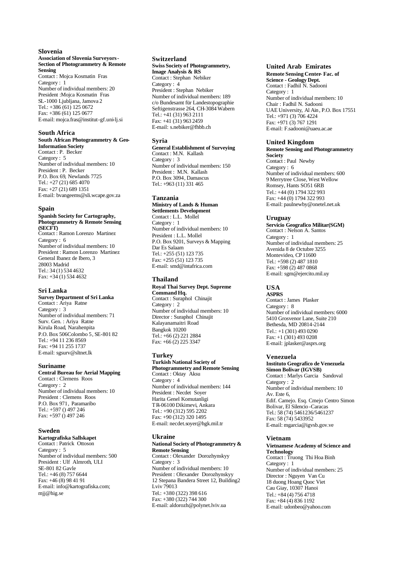## **Slovenia**

#### **Association of Slovenia Surveyors - Section of Photogrammetry & Remote Sensing**

Contact : Mojca Kosmatin Fras Category : 1 Number of individual members: 20 President :Mojca Kosmatin Fras SL-1000 Ljubljana, Jamova 2 Tel.: +386 (61) 125 0672 Fax: +386 (61) 125 0677 E-mail: mojca.fras@institut-gf.uni-lj.si

## **South Africa**

#### **South African Photogrammetry & Geo-Information Society**

Contact : P. Becker Category : 5 Number of individual members: 10 President : P. Becker P.O. Box 69, Newlands 7725 Tel.: +27 (21) 685 4070 Fax: +27 (21) 689 1351 E-mail: bvangeems@sli.wcape.gov.za

#### **Spain**

**Spanish Society for Cartography, Photogrammetry & Remote Sensing (SECFT)** Contact : Ramon Lorenzo Martinez Category : 6 Number of individual members: 10 President : Ramon Lorenzo Martinez General Ibanez de Ibero, 3 28003 Madrid Tel.: 34 (1) 534 4632 Fax: +34 (1) 534 4632

#### **Sri Lanka**

**Survey Department of Sri Lanka** Contact : Ariya Ratne Category : 3 Number of individual members: 71 Surv. Gen. : Ariya Ratne Kirula Road, Narahenpita P.O. Box 506Colombo 5, SE-801 82 Tel.: +94 11 236 8569 Fax: +94 11 255 1737 E-mail: sgsurv@sltnet.lk

#### **Suriname**

**Central Bureau for Aerial Mapping** Contact : Clemens Roos

Category : 2 Number of individual members: 10 President : Clemens Roos P.O. Box 971, Paramaribo Tel.: +597 () 497 246 Fax: +597 () 497 246

#### **Sweden**

#### **Kartografiska Sallskapet**  Contact : Patrick Ottoson

Category : 5 Number of individual members: 500 President : Ulf Almroth, ULI SE-801 82 Gavle Tel.: +46 (8) 757 6644 Fax: +46 (8) 98 41 91 E-mail: info@kartografiska.com; mjj@hig.se

#### **Switzerland**

#### **Swiss Society of Photogrammetry, Image Analysis & RS**

Contact : Stephan Nebiker Category : 4 President : Stephan Nebiker Number of individual members: 189 c/o Bundesamt für Landestopographie Seftigenstrasse 264, CH-3084 Wabern Tel.: +41 (31) 963 2111 Fax: +41 (31) 963 2459 E-mail: s.nebiker@fhbb.ch

#### **Syria**

**General Establishment of Surveying** Contact : M.N. Kallash Category : 3 Number of individual members: 150 President : M.N. Kallash P.O. Box 3094, Damascus Tel.: +963 (11) 331 465

## **Tanzania**

**Ministry of Lands & Human Settlements Development**  Contact : L.L. Mollel Category : 1 Number of individual members: 10 President : L.L. Mollel P.O. Box 9201, Surveys & Mapping Dar Es Salaam Tel.: +255 (51) 123 735 Fax: +255 (51) 123 735 E-mail: smd@intafrica.com

#### **Thailand**

#### **Royal Thai Survey Dept. Supreme Command Hq.** Contact : Suraphol Chinajit Category : 2 Number of individual members: 10 Director : Suraphol Chinajit Kalayanamaitri Road

Bangkok 10200 Tel.: +66 (2) 221 2884 Fax: +66 (2) 225 3347

# **Turkey**

**Turkish National Society of Photogrammetry and Remote Sensing** Contact : Oktay Aksu Category : 4 Number of individual members: 144 President : Necdet Soyer Harita Genel Komutanligi T R-06100 Dikimevi, Ankara Tel.: +90 (312) 595 2202  $Fax: +90(312)3201495$ E-mail: necdet.soyer@hgk.mil.tr

# **Ukraine**

#### **National Society of Photogrammetry & Remote Sensing**

Contact : Olexander Dorozhynskyy Category : 3 Number of individual members: 10 President : Olexander Dorozhynskyy 12 Stepana Bandera Street 12, Building2 Lviv 79013 Tel.: +380 (322) 398 616 Fax: +380 (322) 744 300 E-mail: aldorozh@polynet.lviv.ua

## **United Arab Emirates**

**Remote Sensing Center- Fac. of Science - Geology Dept.** Contact : Fadhil N. Sadooni Category : 1 Number of individual members: 10 Chair : Fadhil N. Sadooni UAE University, Al Ain, P.O. Box 17551 Tel.: +971 (3) 706 4224 Fax: +971 (3) 767 1291 E-mail: F.sadooni@uaeu.ac.ae

#### **United Kingdom**

**Remote Sensing and Photogrammetry Society**

Contact : Paul Newby Category : 6 Number of individual members: 600 9 Merrytree Close, West Wellow Romsey, Hants SO51 6RB Tel.: +44 (0) 1794 322 993 Fax: +44 (0) 1794 322 993 E-mail: paulnewby@onetel.net.uk

#### **Uruguay**

**Servicio Geografico Militar(SGM)** Contact : Nelson A. Santos Category : 1 Number of individual members: 25 Avenida 8 de Octubre 3255 Montevideo, CP 11600 Tel.: +598 (2) 487 1810 Fax: +598 (2) 487 0868 E-mail: sgm@ejercito.mil.uy

## **USA**

**ASPRS** Contact : James Plasker Category : 8 Number of individual members: 6000 5410 Grosvenor Lane, Suite 210 Bethesda, MD 20814-2144 Tel.: +1 (301) 493 0290 Fax: +1 (301) 493 0208 E-mail: jplasker@asprs.org

#### **Venezuela**

**Instituto Geografico de Venezuela Simon Bolivar (IGVSB)** Contact : Marlys Garcia Sandoval Category : 2 Number of individual members: 10 Av. Este 6, Edif. Camejo. Esq. Cmejo Centro Simon Bolivar, El Silencio -Caracas Tel.: 58 (74) 5461236/5461237 Fax: 58 (74) 5433952 E-mail: mgarcia@igvsb.gov.ve

## **Vietnam**

**Vietnamese Academy of Science and Technology** Contact : Truong Thi Hoa Binh Category : 1 Number of individual members: 25 Director : Nguyen Van Cu 18 duong Hoang Quoc Viet Cau Giay, 10307 Hanoi Tel.: +84 (4) 756 4718 Fax: +84 (4) 836 1192 E-mail: udonbeo@yahoo.com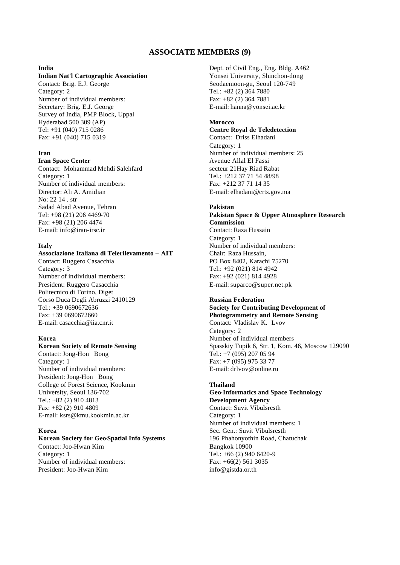# **ASSOCIATE MEMBERS (9)**

## **India**

# **Indian Nat'l Cartographic Association**

Contact: Brig. E.J. George Category: 2 Number of individual members: Secretary: Brig. E.J. George Survey of India, PMP Block, Uppal Hyderabad 500 309 (AP) Tel: +91 (040) 715 0286 Fax: +91 (040) 715 0319

# **Iran**

**Iran Space Center**  Contact: Mohammad Mehdi Salehfard Category: 1 Number of individual members: Director: Ali A. Amidian No: 22 14 . str Sadad Abad Avenue, Tehran Tel: +98 (21) 206 4469-70 Fax: +98 (21) 206 4474 E-mail: info@iran-irsc.ir

# **Italy**

# **Associazione Italiana di Telerilevamento – AIT**

Contact: Ruggero Casacchia Category: 3 Number of individual members: President: Ruggero Casacchia Politecnico di Torino, Diget Corso Duca Degli Abruzzi 2410129 Tel.: +39 0690672636  $Fax: +390690672660$ E-mail: casacchia@iia.cnr.it

## **Korea**

# **Korean Society of Remote Sensing**

Contact: Jong-Hon Bong Category: 1 Number of individual members: President: Jong-Hon Bong College of Forest Science, Kookmin University, Seoul 136-702 Tel.: +82 (2) 910 4813 Fax: +82 (2) 910 4809 E-mail: ksrs@kmu.kookmin.ac.kr

# **Korea**

# **Korean Society for Geo-Spatial Info Systems**

Contact: Joo-Hwan Kim Category: 1 Number of individual members: President: Joo-Hwan Kim

Dept. of Civil Eng., Eng. Bldg. A462 Yonsei University, Shinchon-dong Seodaemoon-gu, Seoul 120-749 Tel.: +82 (2) 364 7880 Fax: +82 (2) 364 7881 E-mail: hanna@yonsei.ac.kr

# **Morocco**

# **Centre Royal de Teledetection**

Contact: Driss Elhadani Category: 1 Number of individual members: 25 Avenue Allal El Fassi secteur 21Hay Riad Rabat Tel.: +212 37 71 54 48/98 Fax: +212 37 71 14 35 E-mail: elhadani@crts.gov.ma

## **Pakistan**

**Pakistan Space & Upper Atmosphere Research Commission** Contact: Raza Hussain Category: 1 Number of individual members: Chair: Raza Hussain, PO Box 8402, Karachi 75270 Tel.: +92 (021) 814 4942 Fax: +92 (021) 814 4928 E-mail: suparco@super.net.pk

# **Russian Federation Society for Contributing Development of Photogrammetry and Remote Sensing**

Contact: Vladislav K. Lvov Category: 2 Number of individual members Spasskiy Tupik 6, Str. 1, Kom. 46, Moscow 129090 Tel.: +7 (095) 207 05 94 Fax: +7 (095) 975 33 77 E-mail: drlvov@online.ru

# **Thailand**

## **Geo-Informatics and Space Technology Development Agency** Contact: Suvit Vibulsresth

Category: 1 Number of individual members: 1 Sec. Gen.: Suvit Vibulsresth 196 Phahonyothin Road, Chatuchak Bangkok 10900 Tel.: +66 (2) 940 6420-9 Fax: +66(2) 561 3035 info@gistda.or.th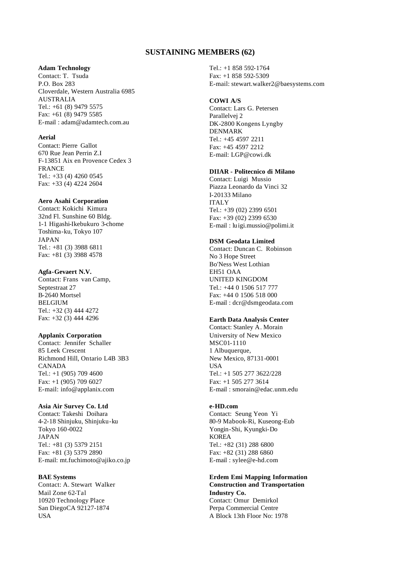# **SUSTAINING MEMBERS (62)**

# **Adam Technology**

Contact: T. Tsuda P.O. Box 283 Cloverdale, Western Australia 6985 AUSTRALIA Tel.: +61 (8) 9479 5575 Fax: +61 (8) 9479 5585 E-mail : adam@adamtech.com.au

# **Aerial**

Contact: Pierre Gallot 670 Rue Jean Perrin Z.I F-13851 Aix en Provence Cedex 3 FRANCE Tel.: +33 (4) 4260 0545 Fax: +33 (4) 4224 2604

# **Aero Asahi Corporation**

Contact: Kokichi Kimura 32nd Fl. Sunshine 60 Bldg. 1-1 Higashi-Ikebukuro 3-chome Toshima-ku, Tokyo 107 JAPAN Tel.: +81 (3) 3988 6811 Fax: +81 (3) 3988 4578

# **Agfa-Gevaert N.V.**

Contact: Frans van Camp, Septestraat 27 B-2640 Mortsel BELGIUM Tel.: +32 (3) 444 4272 Fax: +32 (3) 444 4296

# **Applanix Corporation**

Contact: Jennifer Schaller 85 Leek Crescent Richmond Hill, Ontario L4B 3B3 CANADA Tel.: +1 (905) 709 4600 Fax: +1 (905) 709 6027 E-mail: info@applanix.com

# **Asia Air Survey Co. Ltd**

Contact: Takeshi Doihara 4-2-18 Shinjuku, Shinjuku-ku Tokyo 160-0022 JAPAN Tel.: +81 (3) 5379 2151 Fax: +81 (3) 5379 2890 E-mail: mt.fuchimoto@ajiko.co.jp

# **BAE Systems**

Contact: A. Stewart Walker Mail Zone 62-Tal 10920 Technology Place San DiegoCA 92127-1874 USA

Tel.: +1 858 592-1764 Fax: +1 858 592-5309 E-mail: stewart.walker2@baesystems.com

# **COWI A/S**

Contact: Lars G. Petersen Parallelvej 2 DK-2800 Kongens Lyngby DENMARK Tel.: +45 4597 2211 Fax: +45 4597 2212 E-mail: LGP@cowi.dk

# **DIIAR - Politecnico di Milano**

Contact: Luigi Mussio Piazza Leonardo da Vinci 32 I-20133 Milano ITALY Tel.: +39 (02) 2399 6501 Fax: +39 (02) 2399 6530 E-mail : luigi.mussio@polimi.it

# **DSM Geodata Limited**

Contact: Duncan C. Robinson No 3 Hope Street Bo'Ness West Lothian EH51 OAA UNITED KINGDOM Tel.: +44 0 1506 517 777 Fax: +44 0 1506 518 000 E-mail : dcr@dsmgeodata.com

# **Earth Data Analysis Center**

Contact: Stanley A. Morain University of New Mexico MSC01-1110 1 Albuquerque, New Mexico, 87131-0001 **USA** Tel.: +1 505 277 3622/228 Fax: +1 505 277 3614 E-mail : smorain@edac.unm.edu

## **e-HD.com**

Contact: Seung Yeon Yi 80-9 Mabook-Ri, Kuseong-Eub Yongin-Shi, Kyungki-Do KOREA Tel.: +82 (31) 288 6800 Fax: +82 (31) 288 6860 E-mail : sylee@e-hd.com

# **Erdem Emi Mapping Information Construction and Transportation Industry Co.** Contact: Omur Demirkol Perpa Commercial Centre A Block 13th Floor No: 1978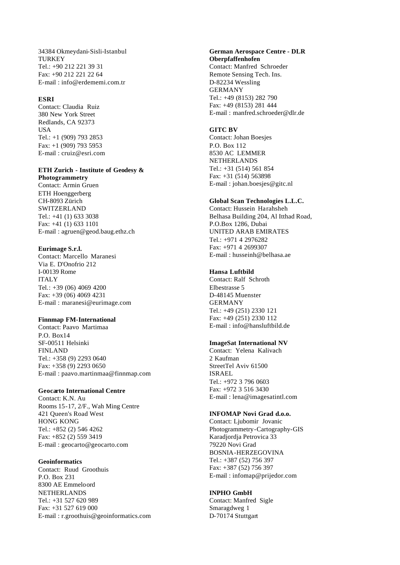34384 Okmeydani-Sisli-Istanbul **TURKEY** Tel.: +90 212 221 39 31 Fax: +90 212 221 22 64 E-mail : info@erdememi.com.tr

## **ESRI**

Contact: Claudia Ruiz 380 New York Street Redlands, CA 92373 USA Tel.: +1 (909) 793 2853 Fax: +1 (909) 793 5953 E-mail : cruiz@esri.com

# **ETH Zurich - Institute of Geodesy &**

**Photogrammetry** Contact: Armin Gruen ETH Hoenggerberg CH-8093 Zürich SWITZERLAND Tel.: +41 (1) 633 3038 Fax: +41 (1) 633 1101 E-mail : agruen@geod.baug.ethz.ch

# **Eurimage S.r.l.**

Contact: Marcello Maranesi Via E. D'Onofrio 212 I-00139 Rome **ITALY** Tel.: +39 (06) 4069 4200 Fax: +39 (06) 4069 4231 E-mail : maranesi@eurimage.com

# **Finnmap FM-International**

Contact: Paavo Martimaa P.O. Box14 SF-00511 Helsinki FINLAND Tel.: +358 (9) 2293 0640 Fax: +358 (9) 2293 0650 E-mail : paavo.martinmaa@finnmap.com

# **Geocarto International Centre**

Contact: K.N. Au Rooms 15-17, 2/F., Wah Ming Centre 421 Queen's Road West HONG KONG Tel.: +852 (2) 546 4262 Fax: +852 (2) 559 3419 E-mail : geocarto@geocarto.com

# **Geoinformatics**

Contact: Ruud Groothuis P.O. Box 231 8300 AE Emmeloord NETHERLANDS Tel.: +31 527 620 989 Fax: +31 527 619 000 E-mail : r.groothuis@geoinformatics.com

# **German Aerospace Centre - DLR Oberpfaffenhofen**

Contact: Manfred Schroeder Remote Sensing Tech. Ins. D-82234 Wessling GERMANY Tel.: +49 (8153) 282 790 Fax: +49 (8153) 281 444 E-mail : manfred.schroeder@dlr.de

## **GITC BV**

Contact: Johan Boesjes P.O. Box 112 8530 AC LEMMER NETHERLANDS Tel.: +31 (514) 561 854 Fax: +31 (514) 563898 E-mail : johan.boesjes@gitc.nl

# **Global Scan Technologies L.L.C.**

Contact: Hussein Harahsheh Belhasa Building 204, Al Itthad Road, P.O.Box 1286, Dubai UNITED ARAB EMIRATES Tel.: +971 4 2976282  $Fax \cdot +971$  4 2699307 E-mail : husseinh@belhasa.ae

# **Hansa Luftbild**

Contact: Ralf Schroth Elbestrasse 5 D-48145 Muenster GERMANY Tel.: +49 (251) 2330 121 Fax: +49 (251) 2330 112 E-mail : info@hansluftbild.de

# **ImageSat International NV**

Contact: Yelena Kalivach 2 Kaufman StreetTel Aviv 61500 ISRAEL Tel.: +972 3 796 0603 Fax: +972 3 516 3430 E-mail : lena@imagesatintl.com

# **INFOMAP Novi Grad d.o.o.**

Contact: Ljubomir Jovanic Photogrammetry-Cartography-GIS Karadjordja Petrovica 33 79220 Novi Grad BOSNIA-HERZEGOVINA Tel.: +387 (52) 756 397 Fax: +387 (52) 756 397 E-mail : infomap@prijedor.com

## **INPHO GmbH**

Contact: Manfred Sigle Smaragdweg 1 D-70174 Stuttgart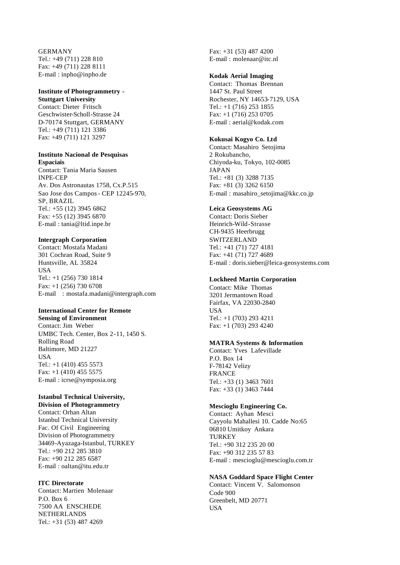GERMANY Tel.: +49 (711) 228 810 Fax: +49 (711) 228 8111 E-mail : inpho@inpho.de

# **Institute of Photogrammetry -**

**Stuttgart University** Contact: Dieter Fritsch Geschwister-Scholl-Strasse 24 D-70174 Stuttgart, GERMANY Tel.: +49 (711) 121 3386 Fax: +49 (711) 121 3297

#### **Instituto Nacional de Pesquisas Espaciais**

Contact: Tania Maria Sausen INPE-CEP Av. Dos Astronautas 1758, Cx.P.515 Sao Jose dos Campos - CEP 12245-970, SP, BRAZIL Tel.: +55 (12) 3945 6862 Fax: +55 (12) 3945 6870 E-mail : tania@ltid.inpe.br

# **Intergraph Corporation**

Contact: Mostafa Madani 301 Cochran Road, Suite 9 Huntsville, AL 35824 **I**ISA Tel.: +1 (256) 730 1814 Fax: +1 (256) 730 6708 E-mail : mostafa.madani@intergraph.com

# **International Center for Remote**

**Sensing of Environment** Contact: Jim Weber UMBC Tech. Center, Box 2-11, 1450 S. Rolling Road Baltimore, MD 21227 **IISA** Tel.:  $+1$  (410) 455 5573 Fax:  $+1$  (410) 455 5575 E-mail : icrse@symposia.org

## **Istanbul Technical University, Division of Photogrammetry**

Contact: Orhan Altan Istanbul Technical University Fac. Of Civil Engineering Division of Photogrammetry 34469-Ayazaga-Istanbul, TURKEY Tel.: +90 212 285 3810 Fax: +90 212 285 6587 E-mail : oaltan@itu.edu.tr

# **ITC Directorate**

Contact: Martien Molenaar P.O. Box 6 7500 AA ENSCHEDE NETHERLANDS Tel.: +31 (53) 487 4269

Fax: +31 (53) 487 4200 E-mail : molenaar@itc.nl

# **Kodak Aerial Imaging**

Contact: Thomas Brennan 1447 St. Paul Street Rochester, NY 14653-7129, USA Tel.: +1 (716) 253 1855 Fax: +1 (716) 253 0705 E-mail : aerial@kodak.com

# **Kokusai Kogyo Co. Ltd**

Contact: Masahiro Setojima 2 Rokubancho, Chiyoda-ku, Tokyo, 102-0085 JAPAN Tel.: +81 (3) 3288 7135 Fax: +81 (3) 3262 6150 E-mail : masahiro\_setojima@kkc.co.jp

# **Leica Geosystems AG**

Contact: Doris Sieber Heinrich-Wild-Strasse CH-9435 Heerbrugg SWITZERLAND Tel.: +41 (71) 727 4181 Fax: +41 (71) 727 4689 E-mail : doris.sieber@leica-geosystems.com

# **Lockheed Martin Corporation**

Contact: Mike Thomas 3201 Jermantown Road Fairfax, VA 22030-2840 **USA** Tel.: +1 (703) 293 4211 Fax: +1 (703) 293 4240

# **MATRA Systems & Information**

Contact: Yves Lafevillade P.O. Box 14 F-78142 Velizy FRANCE Tel.: +33 (1) 3463 7601 Fax: +33 (1) 3463 7444

# **Mescioglu Engineering Co.**

Contact: Ayhan Mesci Cayyolu Mahallesi 10. Cadde No:65 06810 Umitkoy Ankara **TURKEY** Tel.: +90 312 235 20 00 Fax: +90 312 235 57 83 E-mail : mescioglu@mescioglu.com.tr

# **NASA Goddard Space Flight Center**

Contact: Vincent V. Salomonson Code 900 Greenbelt, MD 20771 **USA**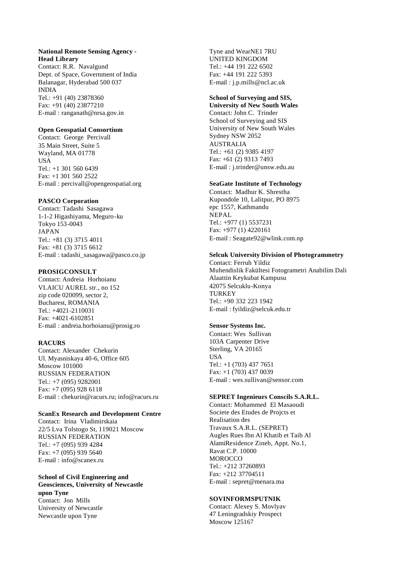# **National Remote Sensing Agency - Head Library**

Contact: R.R. Navalgund Dept. of Space, Government of India Balanagar, Hyderabad 500 037 INDIA Tel.: +91 (40) 23878360 Fax: +91 (40) 23877210 E-mail : ranganath@nrsa.gov.in

# **Open Geospatial Consortium**

Contact: George Percivall 35 Main Street, Suite 5 Wayland, MA 01778 **USA** Tel.: +1 301 560 6439 Fax: +1 301 560 2522 E-mail : percivall@opengeospatial.org

# **PASCO Corporation**

Contact: Tadashi Sasagawa 1-1-2 Higashiyama, Meguro-ku Tokyo 153-0043 JAPAN Tel.: +81 (3) 3715 4011 Fax: +81 (3) 3715 6612 E-mail : tadashi\_sasagawa@pasco.co.jp

# **PROSIGCONSULT**

Contact: Andreia Horhoianu VLAICU AUREL str., no 152 zip code 020099, sector 2, Bucharest, ROMANIA Tel.: +4021-2110031 Fax: +4021-6102851 E-mail : andreia.horhoianu@prosig.ro

# **RACURS**

Contact: Alexander Chekurin Ul. Myasniskaya 40-6, Office 605 Moscow 101000 RUSSIAN FEDERATION Tel.: +7 (095) 9282001 Fax: +7 (095) 928 6118 E-mail : chekurin@racurs.ru; info@racurs.ru

# **ScanEx Research and Development Centre**

Contact: Irina Vladimirskaia 22/5 Lva Tolstogo St, 119021 Moscow RUSSIAN FEDERATION Tel.: +7 (095) 939 4284 Fax: +7 (095) 939 5640 E-mail : info@scanex.ru

# **School of Civil Engineering and Geosciences, University of Newcastle upon Tyne** Contact: Jon Mills University of Newcastle

Newcastle upon Tyne

Tyne and WearNE1 7RU UNITED KINGDOM Tel.: +44 191 222 6502 Fax: +44 191 222 5393 E-mail : j.p.mills@ncl.ac.uk

# **School of Surveying and SIS,**

**University of New South Wales** Contact: John C. Trinder School of Surveying and SIS University of New South Wales Sydney NSW 2052 AUSTRALIA Tel.: +61 (2) 9385 4197 Fax: +61 (2) 9313 7493 E-mail : j.trinder@unsw.edu.au

# **SeaGate Institute of Technology**

Contact: Madhur K. Shrestha Kupondole 10, Lalitpur, PO 8975 epc 1557, Kathmandu NEPAL Tel.: +977 (1) 5537231 Fax: +977 (1) 4220161 E-mail : Seagate92@wlink.com.np

# **Selcuk University Division of Photogrammetry**

Contact: Ferruh Yildiz Muhendislik Fakültesi Fotogrametri Anabilim Dali Alaattin Keykubat Kampusu 42075 Selcuklu-Konya **TURKEY** Tel.: +90 332 223 1942 E-mail : fyildiz@selcuk.edu.tr

# **Sensor Systems Inc.**

Contact: Wes Sullivan 103A Carpenter Drive Sterling, VA 20165 USA Tel.: +1 (703) 437 7651 Fax: +1 (703) 437 0039 E-mail : wes.sullivan@sensor.com

# **SEPRET Ingenieurs Conscils S.A.R.L.**

Contact: Mohammed El Masaoudi Societe des Etudes de Projcts et Realisation des Travaux S.A.R.L. (SEPRET) Augles Rues Ibn Al Khatib et Taib Al AlamiResidence Zineb, Appt. No.1, Ravat C.P. 10000 **MOROCCO** Tel.: +212 37260893 Fax: +212 37704511 E-mail : sepret@menara.ma

# **SOVINFORMSPUTNIK**

Contact: Alexey S. Movlyav 47 Leningradskiy Prospect Moscow 125167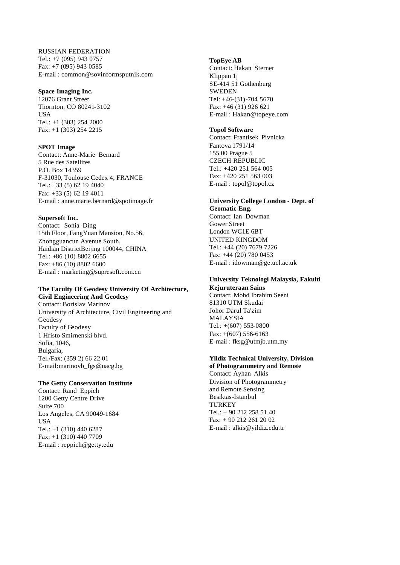RUSSIAN FEDERATION Tel.: +7 (095) 943 0757 Fax: +7 (095) 943 0585 E-mail : common@sovinformsputnik.com

# **Space Imaging Inc.**

12076 Grant Street Thornton, CO 80241-3102 USA Tel.: +1 (303) 254 2000 Fax: +1 (303) 254 2215

## **SPOT Image**

Contact: Anne-Marie Bernard 5 Rue des Satellites P.O. Box 14359 F-31030, Toulouse Cedex 4, FRANCE Tel.: +33 (5) 62 19 4040 Fax: +33 (5) 62 19 4011 E-mail : anne.marie.bernard@spotimage.fr

# **Supersoft Inc.**

Contact: Sonia Ding 15th Floor, FangYuan Mansion, No.56, Zhongguancun Avenue South, Haidian DistrictBeijing 100044, CHINA Tel.: +86 (10) 8802 6655 Fax: +86 (10) 8802 6600 E-mail : marketing@supresoft.com.cn

# **The Faculty Of Geodesy University Of Architecture, Civil Engineering And Geodesy**

Contact: Borislav Marinov University of Architecture, Civil Engineering and Geodesy Faculty of Geodesy 1 Hristo Smirnenski blvd. Sofia, 1046, Bulgaria, Tel./Fax: (359 2) 66 22 01 E-mail:marinovb\_fgs@uacg.bg

# **The Getty Conservation Institute**

Contact: Rand Eppich 1200 Getty Centre Drive Suite 700 Los Angeles, CA 90049-1684 USA Tel.: +1 (310) 440 6287 Fax: +1 (310) 440 7709 E-mail : reppich@getty.edu

## **TopEye AB**

Contact: Hakan Sterner Klippan 1j SE-414 51 Gothenburg SWEDEN Tel: +46-(31)-704 5670 Fax: +46 (31) 926 621 E-mail : Hakan@topeye.com

# **Topol Software**

Contact: Frantisek Pivnicka Fantova 1791/14 155 00 Prague 5 CZECH REPUBLIC Tel.: +420 251 564 005 Fax: +420 251 563 003 E-mail : topol@topol.cz

# **University College London - Dept. of Geomatic Eng.**

Contact: Ian Dowman Gower Street London WC1E 6BT UNITED KINGDOM Tel.: +44 (20) 7679 7226 Fax: +44 (20) 780 0453 E-mail : idowman@ge.ucl.ac.uk

# **University Teknologi Malaysia, Fakulti Kejuruteraan Sains**

Contact: Mohd Ibrahim Seeni 81310 UTM Skudai Johor Darul Ta'zim MALAYSIA Tel.: +(607) 553-0800 Fax: +(607) 556-6163 E-mail : fksg@utmjb.utm.my

# **Yildiz Technical University, Division**

**of Photogrammetry and Remote**  Contact: Ayhan Alkis Division of Photogrammetry and Remote Sensing Besiktas-Istanbul TURKEY Tel.: + 90 212 258 51 40 Fax: + 90 212 261 20 02 E-mail : alkis@yildiz.edu.tr